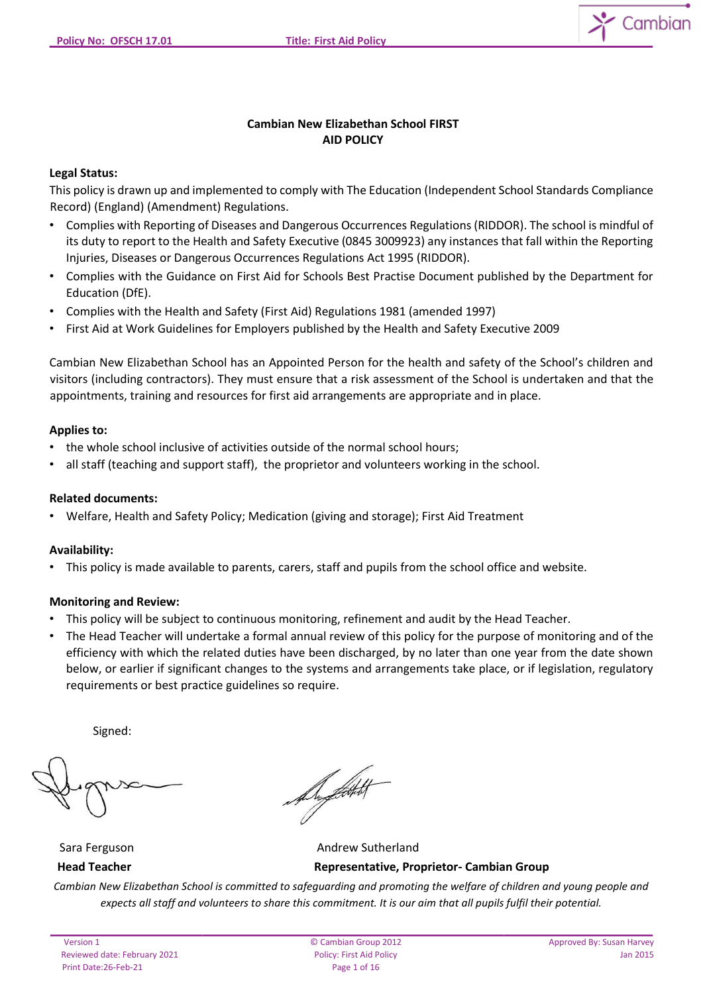

## **Cambian New Elizabethan School FIRST AID POLICY**

## **Legal Status:**

This policy is drawn up and implemented to comply with The Education (Independent School Standards Compliance Record) (England) (Amendment) Regulations.

- Complies with Reporting of Diseases and Dangerous Occurrences Regulations (RIDDOR). The school is mindful of its duty to report to the Health and Safety Executive (0845 3009923) any instances that fall within the Reporting Injuries, Diseases or Dangerous Occurrences Regulations Act 1995 (RIDDOR).
- Complies with the Guidance on First Aid for Schools Best Practise Document published by the Department for Education (DfE).
- Complies with the Health and Safety (First Aid) Regulations 1981 (amended 1997)
- First Aid at Work Guidelines for Employers published by the Health and Safety Executive 2009

Cambian New Elizabethan School has an Appointed Person for the health and safety of the School's children and visitors (including contractors). They must ensure that a risk assessment of the School is undertaken and that the appointments, training and resources for first aid arrangements are appropriate and in place.

#### **Applies to:**

- the whole school inclusive of activities outside of the normal school hours;
- all staff (teaching and support staff), the proprietor and volunteers working in the school.

#### **Related documents:**

• Welfare, Health and Safety Policy; Medication (giving and storage); First Aid Treatment

#### **Availability:**

• This policy is made available to parents, carers, staff and pupils from the school office and website.

#### **Monitoring and Review:**

- This policy will be subject to continuous monitoring, refinement and audit by the Head Teacher.
- The Head Teacher will undertake a formal annual review of this policy for the purpose of monitoring and of the efficiency with which the related duties have been discharged, by no later than one year from the date shown below, or earlier if significant changes to the systems and arrangements take place, or if legislation, regulatory requirements or best practice guidelines so require.

Signed:

A. Litt

Sara Ferguson **Andrew Sutherland Head Teacher Representative, Proprietor- Cambian Group**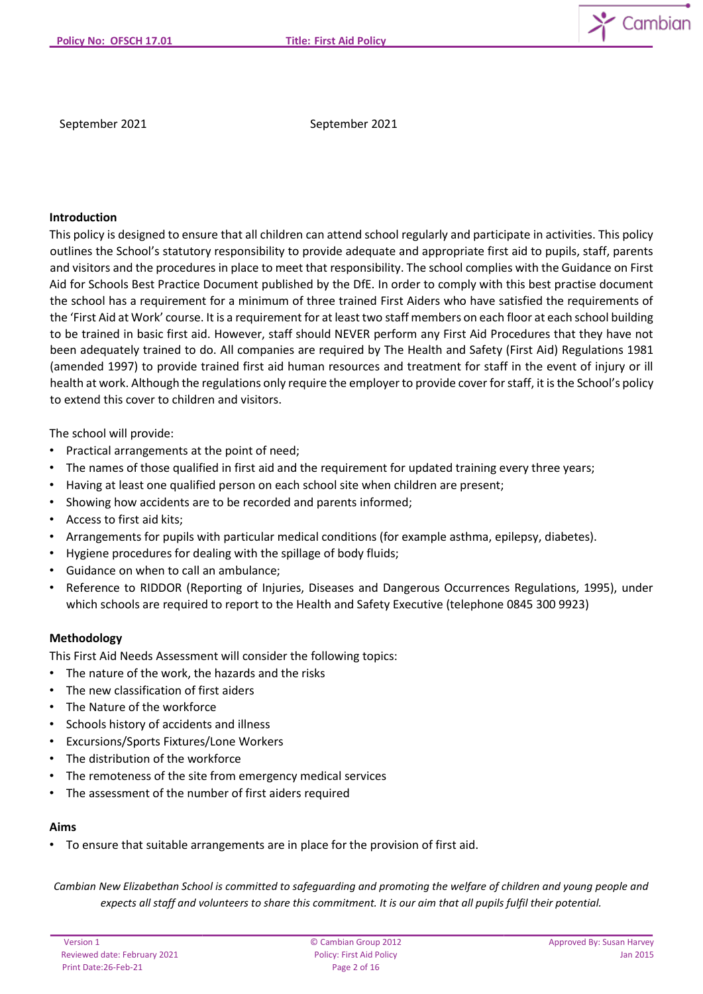

September 2021 September 2021

## **Introduction**

This policy is designed to ensure that all children can attend school regularly and participate in activities. This policy outlines the School's statutory responsibility to provide adequate and appropriate first aid to pupils, staff, parents and visitors and the procedures in place to meet that responsibility. The school complies with the Guidance on First Aid for Schools Best Practice Document published by the DfE. In order to comply with this best practise document the school has a requirement for a minimum of three trained First Aiders who have satisfied the requirements of the 'First Aid at Work' course. It is a requirement for at least two staff members on each floor at each school building to be trained in basic first aid. However, staff should NEVER perform any First Aid Procedures that they have not been adequately trained to do. All companies are required by The Health and Safety (First Aid) Regulations 1981 (amended 1997) to provide trained first aid human resources and treatment for staff in the event of injury or ill health at work. Although the regulations only require the employer to provide cover for staff, it is the School's policy to extend this cover to children and visitors.

The school will provide:

- Practical arrangements at the point of need;
- The names of those qualified in first aid and the requirement for updated training every three years;
- Having at least one qualified person on each school site when children are present;
- Showing how accidents are to be recorded and parents informed;
- Access to first aid kits;
- Arrangements for pupils with particular medical conditions (for example asthma, epilepsy, diabetes).
- Hygiene procedures for dealing with the spillage of body fluids;
- Guidance on when to call an ambulance;
- Reference to RIDDOR (Reporting of Injuries, Diseases and Dangerous Occurrences Regulations, 1995), under which schools are required to report to the Health and Safety Executive (telephone 0845 300 9923)

#### **Methodology**

This First Aid Needs Assessment will consider the following topics:

- The nature of the work, the hazards and the risks
- The new classification of first aiders
- The Nature of the workforce
- Schools history of accidents and illness
- Excursions/Sports Fixtures/Lone Workers
- The distribution of the workforce
- The remoteness of the site from emergency medical services
- The assessment of the number of first aiders required

#### **Aims**

• To ensure that suitable arrangements are in place for the provision of first aid.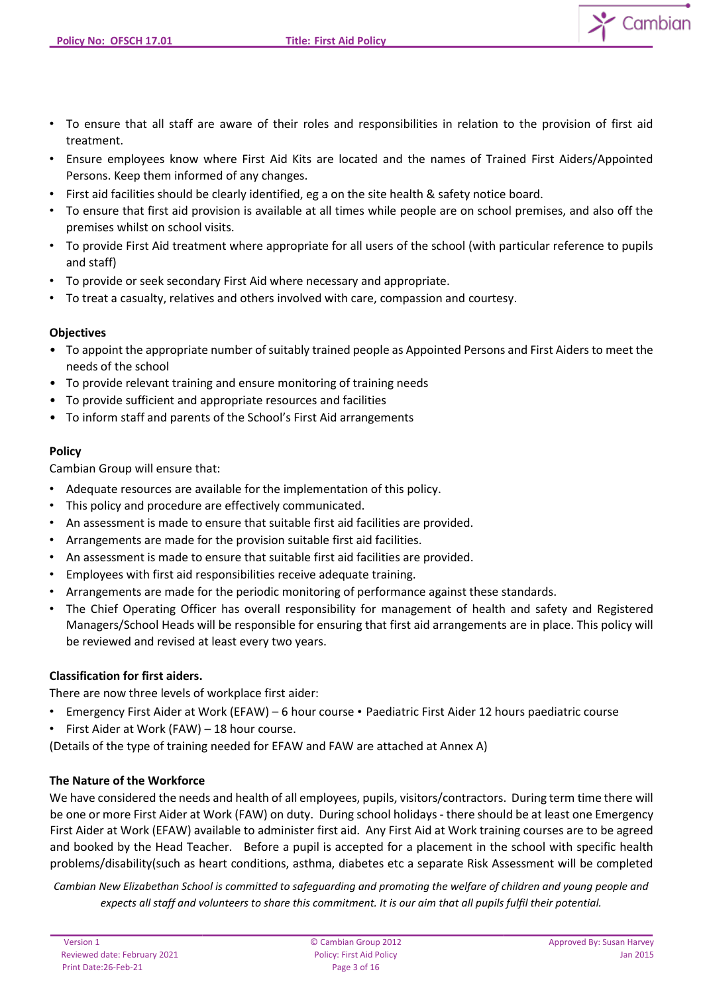- To ensure that all staff are aware of their roles and responsibilities in relation to the provision of first aid treatment.
- Ensure employees know where First Aid Kits are located and the names of Trained First Aiders/Appointed Persons. Keep them informed of any changes.
- First aid facilities should be clearly identified, eg a on the site health & safety notice board.
- To ensure that first aid provision is available at all times while people are on school premises, and also off the premises whilst on school visits.
- To provide First Aid treatment where appropriate for all users of the school (with particular reference to pupils and staff)
- To provide or seek secondary First Aid where necessary and appropriate.
- To treat a casualty, relatives and others involved with care, compassion and courtesy.

## **Objectives**

- To appoint the appropriate number of suitably trained people as Appointed Persons and First Aiders to meet the needs of the school
- To provide relevant training and ensure monitoring of training needs
- To provide sufficient and appropriate resources and facilities
- To inform staff and parents of the School's First Aid arrangements

## **Policy**

Cambian Group will ensure that:

- Adequate resources are available for the implementation of this policy.
- This policy and procedure are effectively communicated.
- An assessment is made to ensure that suitable first aid facilities are provided.
- Arrangements are made for the provision suitable first aid facilities.
- An assessment is made to ensure that suitable first aid facilities are provided.
- Employees with first aid responsibilities receive adequate training.
- Arrangements are made for the periodic monitoring of performance against these standards.
- The Chief Operating Officer has overall responsibility for management of health and safety and Registered Managers/School Heads will be responsible for ensuring that first aid arrangements are in place. This policy will be reviewed and revised at least every two years.

#### **Classification for first aiders.**

There are now three levels of workplace first aider:

- Emergency First Aider at Work (EFAW) 6 hour course Paediatric First Aider 12 hours paediatric course
- First Aider at Work (FAW) 18 hour course.

(Details of the type of training needed for EFAW and FAW are attached at Annex A)

# **The Nature of the Workforce**

We have considered the needs and health of all employees, pupils, visitors/contractors. During term time there will be one or more First Aider at Work (FAW) on duty. During school holidays - there should be at least one Emergency First Aider at Work (EFAW) available to administer first aid. Any First Aid at Work training courses are to be agreed and booked by the Head Teacher. Before a pupil is accepted for a placement in the school with specific health problems/disability(such as heart conditions, asthma, diabetes etc a separate Risk Assessment will be completed

*Cambian New Elizabethan School is committed to safeguarding and promoting the welfare of children and young people and expects all staff and volunteers to share this commitment. It is our aim that all pupils fulfil their potential.*

Cambian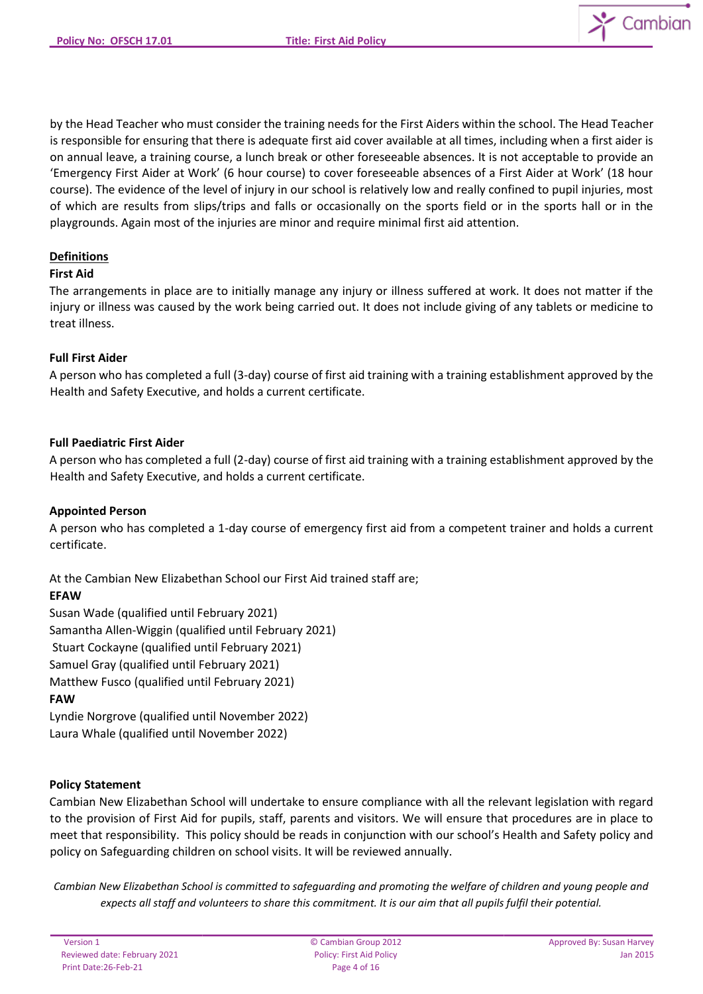

by the Head Teacher who must consider the training needs for the First Aiders within the school. The Head Teacher is responsible for ensuring that there is adequate first aid cover available at all times, including when a first aider is on annual leave, a training course, a lunch break or other foreseeable absences. It is not acceptable to provide an 'Emergency First Aider at Work' (6 hour course) to cover foreseeable absences of a First Aider at Work' (18 hour course). The evidence of the level of injury in our school is relatively low and really confined to pupil injuries, most of which are results from slips/trips and falls or occasionally on the sports field or in the sports hall or in the playgrounds. Again most of the injuries are minor and require minimal first aid attention.

# **Definitions**

#### **First Aid**

The arrangements in place are to initially manage any injury or illness suffered at work. It does not matter if the injury or illness was caused by the work being carried out. It does not include giving of any tablets or medicine to treat illness.

## **Full First Aider**

A person who has completed a full (3-day) course of first aid training with a training establishment approved by the Health and Safety Executive, and holds a current certificate.

## **Full Paediatric First Aider**

A person who has completed a full (2-day) course of first aid training with a training establishment approved by the Health and Safety Executive, and holds a current certificate.

#### **Appointed Person**

A person who has completed a 1-day course of emergency first aid from a competent trainer and holds a current certificate.

At the Cambian New Elizabethan School our First Aid trained staff are;

# **EFAW**

Susan Wade (qualified until February 2021) Samantha Allen-Wiggin (qualified until February 2021) Stuart Cockayne (qualified until February 2021) Samuel Gray (qualified until February 2021) Matthew Fusco (qualified until February 2021) **FAW**  Lyndie Norgrove (qualified until November 2022)

Laura Whale (qualified until November 2022)

# **Policy Statement**

Cambian New Elizabethan School will undertake to ensure compliance with all the relevant legislation with regard to the provision of First Aid for pupils, staff, parents and visitors. We will ensure that procedures are in place to meet that responsibility. This policy should be reads in conjunction with our school's Health and Safety policy and policy on Safeguarding children on school visits. It will be reviewed annually.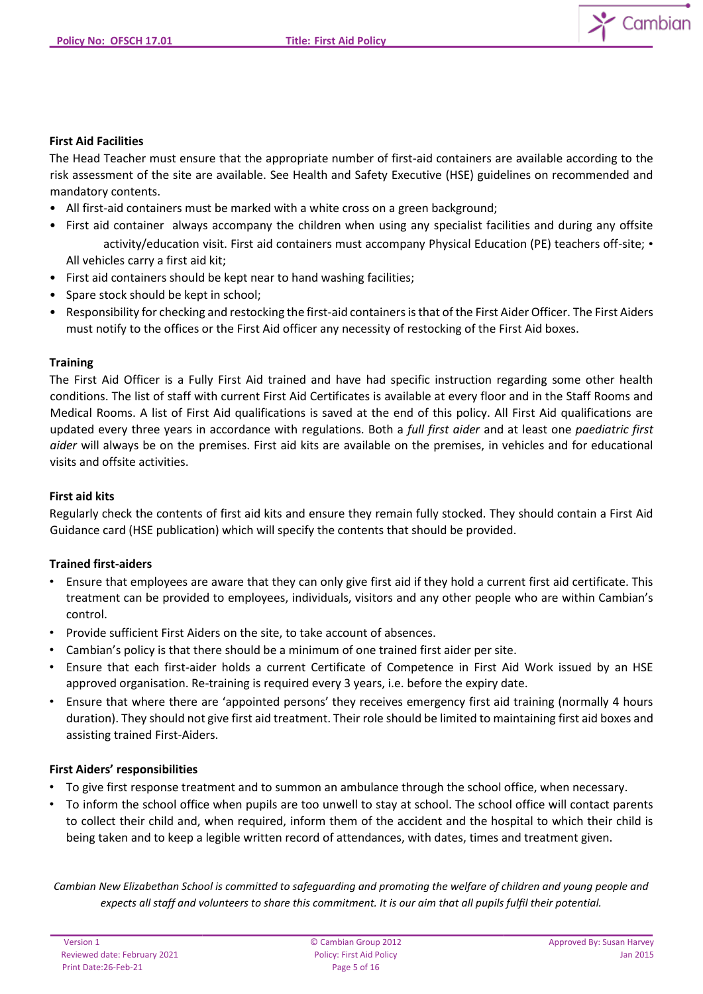

## **First Aid Facilities**

The Head Teacher must ensure that the appropriate number of first-aid containers are available according to the risk assessment of the site are available. See Health and Safety Executive (HSE) guidelines on recommended and mandatory contents.

- All first-aid containers must be marked with a white cross on a green background;
- First aid container always accompany the children when using any specialist facilities and during any offsite activity/education visit. First aid containers must accompany Physical Education (PE) teachers off-site; • All vehicles carry a first aid kit;
- First aid containers should be kept near to hand washing facilities;
- Spare stock should be kept in school;
- Responsibility for checking and restocking the first-aid containers is that of the First Aider Officer. The First Aiders must notify to the offices or the First Aid officer any necessity of restocking of the First Aid boxes.

## **Training**

The First Aid Officer is a Fully First Aid trained and have had specific instruction regarding some other health conditions. The list of staff with current First Aid Certificates is available at every floor and in the Staff Rooms and Medical Rooms. A list of First Aid qualifications is saved at the end of this policy. All First Aid qualifications are updated every three years in accordance with regulations. Both a *full first aider* and at least one *paediatric first aider* will always be on the premises. First aid kits are available on the premises, in vehicles and for educational visits and offsite activities.

## **First aid kits**

Regularly check the contents of first aid kits and ensure they remain fully stocked. They should contain a First Aid Guidance card (HSE publication) which will specify the contents that should be provided.

#### **Trained first-aiders**

- Ensure that employees are aware that they can only give first aid if they hold a current first aid certificate. This treatment can be provided to employees, individuals, visitors and any other people who are within Cambian's control.
- Provide sufficient First Aiders on the site, to take account of absences.
- Cambian's policy is that there should be a minimum of one trained first aider per site.
- Ensure that each first-aider holds a current Certificate of Competence in First Aid Work issued by an HSE approved organisation. Re-training is required every 3 years, i.e. before the expiry date.
- Ensure that where there are 'appointed persons' they receives emergency first aid training (normally 4 hours duration). They should not give first aid treatment. Their role should be limited to maintaining first aid boxes and assisting trained First-Aiders.

#### **First Aiders' responsibilities**

- To give first response treatment and to summon an ambulance through the school office, when necessary.
- To inform the school office when pupils are too unwell to stay at school. The school office will contact parents to collect their child and, when required, inform them of the accident and the hospital to which their child is being taken and to keep a legible written record of attendances, with dates, times and treatment given.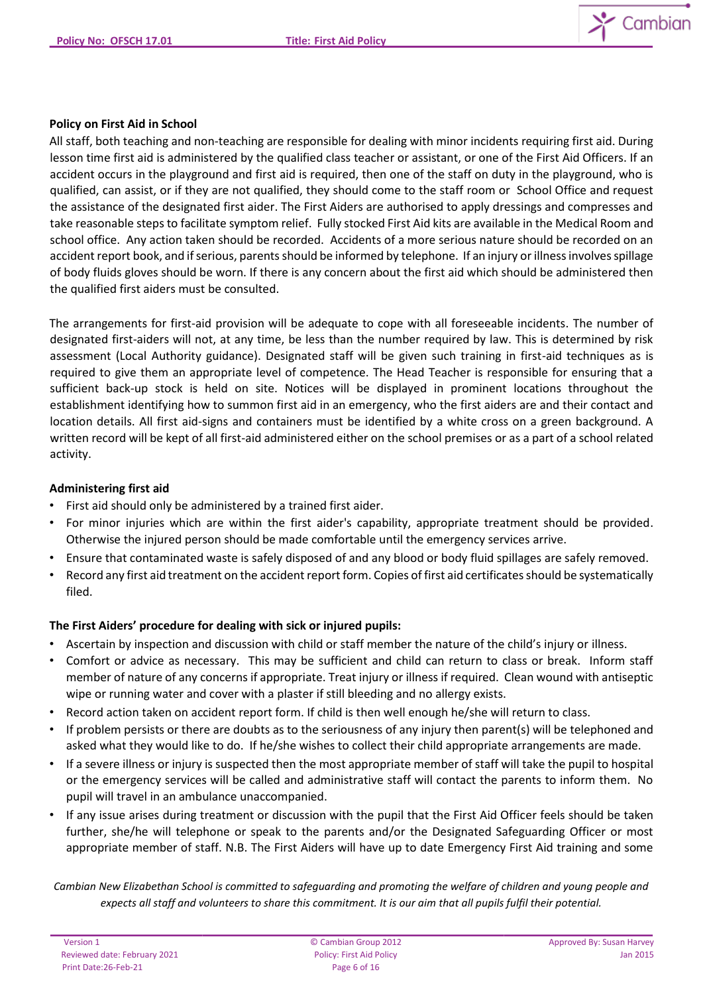

## **Policy on First Aid in School**

All staff, both teaching and non-teaching are responsible for dealing with minor incidents requiring first aid. During lesson time first aid is administered by the qualified class teacher or assistant, or one of the First Aid Officers. If an accident occurs in the playground and first aid is required, then one of the staff on duty in the playground, who is qualified, can assist, or if they are not qualified, they should come to the staff room or School Office and request the assistance of the designated first aider. The First Aiders are authorised to apply dressings and compresses and take reasonable steps to facilitate symptom relief. Fully stocked First Aid kits are available in the Medical Room and school office. Any action taken should be recorded. Accidents of a more serious nature should be recorded on an accident report book, and if serious, parents should be informed by telephone. If an injury or illness involves spillage of body fluids gloves should be worn. If there is any concern about the first aid which should be administered then the qualified first aiders must be consulted.

The arrangements for first-aid provision will be adequate to cope with all foreseeable incidents. The number of designated first-aiders will not, at any time, be less than the number required by law. This is determined by risk assessment (Local Authority guidance). Designated staff will be given such training in first-aid techniques as is required to give them an appropriate level of competence. The Head Teacher is responsible for ensuring that a sufficient back-up stock is held on site. Notices will be displayed in prominent locations throughout the establishment identifying how to summon first aid in an emergency, who the first aiders are and their contact and location details. All first aid-signs and containers must be identified by a white cross on a green background. A written record will be kept of all first-aid administered either on the school premises or as a part of a school related activity.

## **Administering first aid**

- First aid should only be administered by a trained first aider.
- For minor injuries which are within the first aider's capability, appropriate treatment should be provided. Otherwise the injured person should be made comfortable until the emergency services arrive.
- Ensure that contaminated waste is safely disposed of and any blood or body fluid spillages are safely removed.
- Record any first aid treatment on the accident report form. Copies of first aid certificates should be systematically filed.

# **The First Aiders' procedure for dealing with sick or injured pupils:**

- Ascertain by inspection and discussion with child or staff member the nature of the child's injury or illness.
- Comfort or advice as necessary. This may be sufficient and child can return to class or break. Inform staff member of nature of any concerns if appropriate. Treat injury or illness if required. Clean wound with antiseptic wipe or running water and cover with a plaster if still bleeding and no allergy exists.
- Record action taken on accident report form. If child is then well enough he/she will return to class.
- If problem persists or there are doubts as to the seriousness of any injury then parent(s) will be telephoned and asked what they would like to do. If he/she wishes to collect their child appropriate arrangements are made.
- If a severe illness or injury is suspected then the most appropriate member of staff will take the pupil to hospital or the emergency services will be called and administrative staff will contact the parents to inform them. No pupil will travel in an ambulance unaccompanied.
- If any issue arises during treatment or discussion with the pupil that the First Aid Officer feels should be taken further, she/he will telephone or speak to the parents and/or the Designated Safeguarding Officer or most appropriate member of staff. N.B. The First Aiders will have up to date Emergency First Aid training and some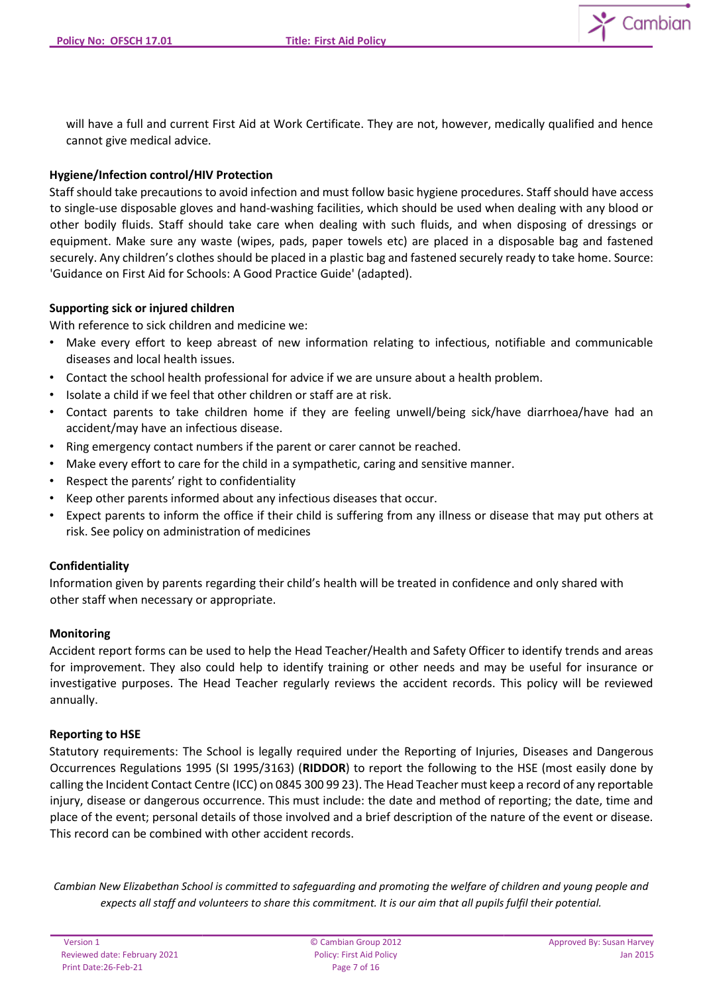

will have a full and current First Aid at Work Certificate. They are not, however, medically qualified and hence cannot give medical advice.

# **Hygiene/Infection control/HIV Protection**

Staff should take precautions to avoid infection and must follow basic hygiene procedures. Staff should have access to single-use disposable gloves and hand-washing facilities, which should be used when dealing with any blood or other bodily fluids. Staff should take care when dealing with such fluids, and when disposing of dressings or equipment. Make sure any waste (wipes, pads, paper towels etc) are placed in a disposable bag and fastened securely. Any children's clothes should be placed in a plastic bag and fastened securely ready to take home. Source: 'Guidance on First Aid for Schools: A Good Practice Guide' (adapted).

# **Supporting sick or injured children**

With reference to sick children and medicine we:

- Make every effort to keep abreast of new information relating to infectious, notifiable and communicable diseases and local health issues.
- Contact the school health professional for advice if we are unsure about a health problem.
- Isolate a child if we feel that other children or staff are at risk.
- Contact parents to take children home if they are feeling unwell/being sick/have diarrhoea/have had an accident/may have an infectious disease.
- Ring emergency contact numbers if the parent or carer cannot be reached.
- Make every effort to care for the child in a sympathetic, caring and sensitive manner.
- Respect the parents' right to confidentiality
- Keep other parents informed about any infectious diseases that occur.
- Expect parents to inform the office if their child is suffering from any illness or disease that may put others at risk. See policy on administration of medicines

#### **Confidentiality**

Information given by parents regarding their child's health will be treated in confidence and only shared with other staff when necessary or appropriate.

#### **Monitoring**

Accident report forms can be used to help the Head Teacher/Health and Safety Officer to identify trends and areas for improvement. They also could help to identify training or other needs and may be useful for insurance or investigative purposes. The Head Teacher regularly reviews the accident records. This policy will be reviewed annually.

#### **Reporting to HSE**

Statutory requirements: The School is legally required under the Reporting of Injuries, Diseases and Dangerous Occurrences Regulations 1995 (SI 1995/3163) (**RIDDOR**) to report the following to the HSE (most easily done by calling the Incident Contact Centre (ICC) on 0845 300 99 23). The Head Teacher must keep a record of any reportable injury, disease or dangerous occurrence. This must include: the date and method of reporting; the date, time and place of the event; personal details of those involved and a brief description of the nature of the event or disease. This record can be combined with other accident records.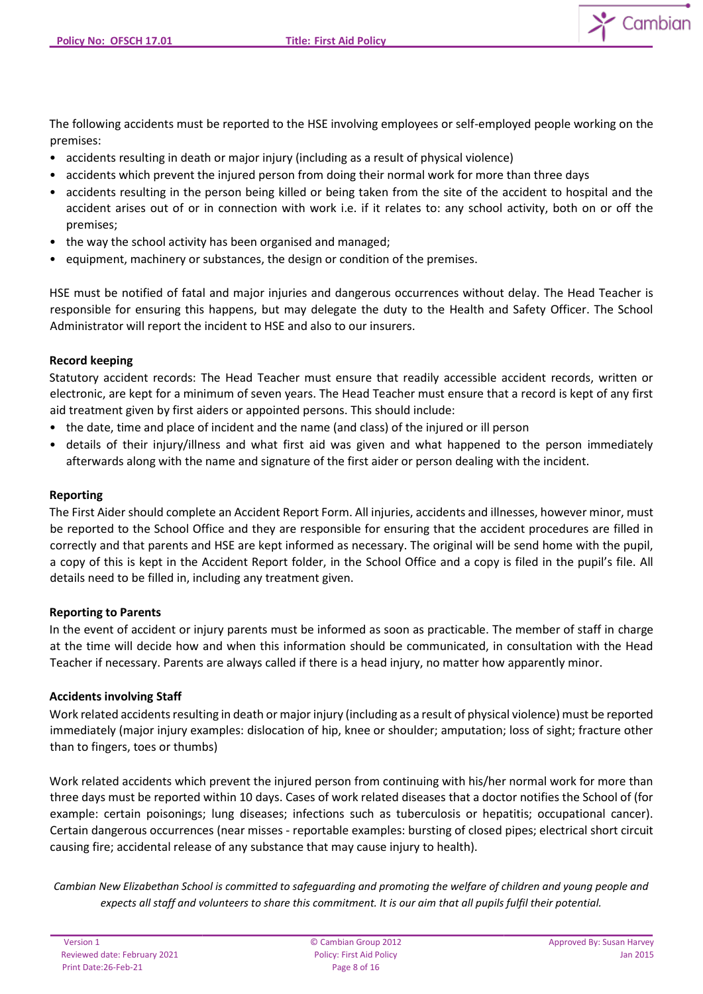Cambian

The following accidents must be reported to the HSE involving employees or self-employed people working on the premises:

- accidents resulting in death or major injury (including as a result of physical violence)
- accidents which prevent the injured person from doing their normal work for more than three days
- accidents resulting in the person being killed or being taken from the site of the accident to hospital and the accident arises out of or in connection with work i.e. if it relates to: any school activity, both on or off the premises;
- the way the school activity has been organised and managed;
- equipment, machinery or substances, the design or condition of the premises.

HSE must be notified of fatal and major injuries and dangerous occurrences without delay. The Head Teacher is responsible for ensuring this happens, but may delegate the duty to the Health and Safety Officer. The School Administrator will report the incident to HSE and also to our insurers.

## **Record keeping**

Statutory accident records: The Head Teacher must ensure that readily accessible accident records, written or electronic, are kept for a minimum of seven years. The Head Teacher must ensure that a record is kept of any first aid treatment given by first aiders or appointed persons. This should include:

- the date, time and place of incident and the name (and class) of the injured or ill person
- details of their injury/illness and what first aid was given and what happened to the person immediately afterwards along with the name and signature of the first aider or person dealing with the incident.

## **Reporting**

The First Aider should complete an Accident Report Form. All injuries, accidents and illnesses, however minor, must be reported to the School Office and they are responsible for ensuring that the accident procedures are filled in correctly and that parents and HSE are kept informed as necessary. The original will be send home with the pupil, a copy of this is kept in the Accident Report folder, in the School Office and a copy is filed in the pupil's file. All details need to be filled in, including any treatment given.

#### **Reporting to Parents**

In the event of accident or injury parents must be informed as soon as practicable. The member of staff in charge at the time will decide how and when this information should be communicated, in consultation with the Head Teacher if necessary. Parents are always called if there is a head injury, no matter how apparently minor.

#### **Accidents involving Staff**

Work related accidents resulting in death or major injury (including as a result of physical violence) must be reported immediately (major injury examples: dislocation of hip, knee or shoulder; amputation; loss of sight; fracture other than to fingers, toes or thumbs)

Work related accidents which prevent the injured person from continuing with his/her normal work for more than three days must be reported within 10 days. Cases of work related diseases that a doctor notifies the School of (for example: certain poisonings; lung diseases; infections such as tuberculosis or hepatitis; occupational cancer). Certain dangerous occurrences (near misses - reportable examples: bursting of closed pipes; electrical short circuit causing fire; accidental release of any substance that may cause injury to health).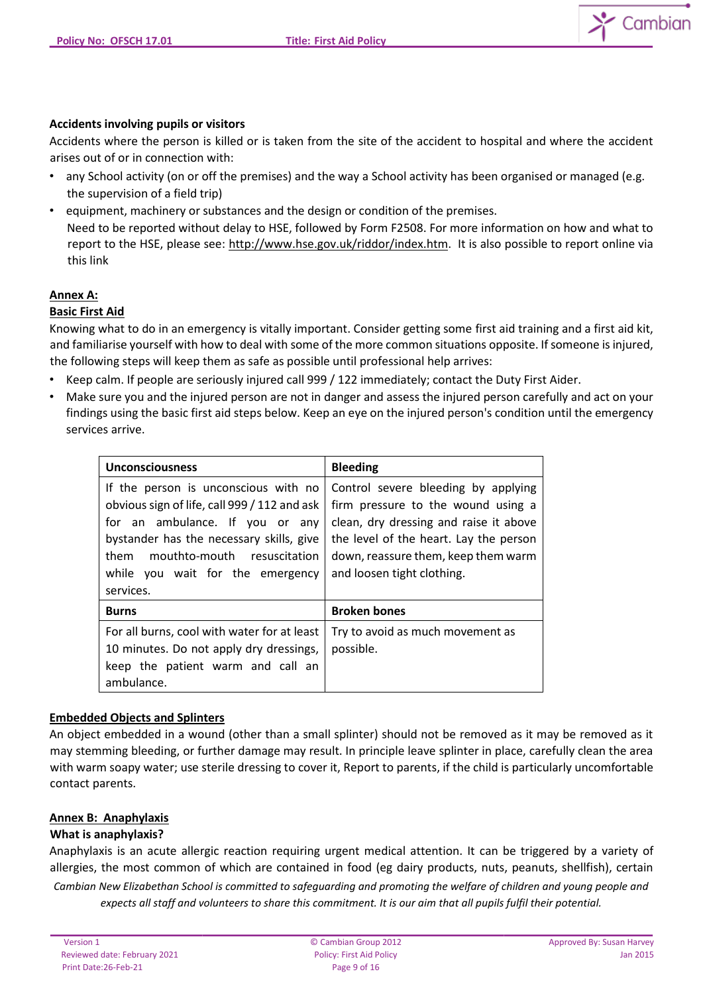

## **Accidents involving pupils or visitors**

Accidents where the person is killed or is taken from the site of the accident to hospital and where the accident arises out of or in connection with:

- any School activity (on or off the premises) and the way a School activity has been organised or managed (e.g. the supervision of a field trip)
- equipment, machinery or substances and the design or condition of the premises. Need to be reported without delay to HSE, followed by Form F2508. For more information on how and what to report to the HSE, please see: [http://www.hse.gov.uk/riddor/index.htm.](http://www.hse.gov.uk/riddor/index.htm) It is also possible to report online via this link

#### **Annex A:**

#### **Basic First Aid**

Knowing what to do in an emergency is vitally important. Consider getting some first aid training and a first aid kit, and familiarise yourself with how to deal with some of the more common situations opposite. If someone is injured, the following steps will keep them as safe as possible until professional help arrives:

- Keep calm. If people are seriously injured call 999 / 122 immediately; contact the Duty First Aider.
- Make sure you and the injured person are not in danger and assess the injured person carefully and act on your findings using the basic first aid steps below. Keep an eye on the injured person's condition until the emergency services arrive.

| <b>Unconsciousness</b>                                                                                                                                                                                                                                      | <b>Bleeding</b>                                                                                                                                                                                                                    |
|-------------------------------------------------------------------------------------------------------------------------------------------------------------------------------------------------------------------------------------------------------------|------------------------------------------------------------------------------------------------------------------------------------------------------------------------------------------------------------------------------------|
| If the person is unconscious with no<br>obvious sign of life, call 999 / 112 and ask<br>for an ambulance. If you or any<br>bystander has the necessary skills, give<br>mouthto-mouth resuscitation<br>them<br>while you wait for the emergency<br>services. | Control severe bleeding by applying<br>firm pressure to the wound using a<br>clean, dry dressing and raise it above<br>the level of the heart. Lay the person<br>down, reassure them, keep them warm<br>and loosen tight clothing. |
| <b>Burns</b>                                                                                                                                                                                                                                                | <b>Broken bones</b>                                                                                                                                                                                                                |
| For all burns, cool with water for at least<br>10 minutes. Do not apply dry dressings,<br>keep the patient warm and call an<br>ambulance.                                                                                                                   | Try to avoid as much movement as<br>possible.                                                                                                                                                                                      |

#### **Embedded Objects and Splinters**

An object embedded in a wound (other than a small splinter) should not be removed as it may be removed as it may stemming bleeding, or further damage may result. In principle leave splinter in place, carefully clean the area with warm soapy water; use sterile dressing to cover it, Report to parents, if the child is particularly uncomfortable contact parents.

#### **Annex B: Anaphylaxis**

#### **What is anaphylaxis?**

*Cambian New Elizabethan School is committed to safeguarding and promoting the welfare of children and young people and expects all staff and volunteers to share this commitment. It is our aim that all pupils fulfil their potential.* Anaphylaxis is an acute allergic reaction requiring urgent medical attention. It can be triggered by a variety of allergies, the most common of which are contained in food (eg dairy products, nuts, peanuts, shellfish), certain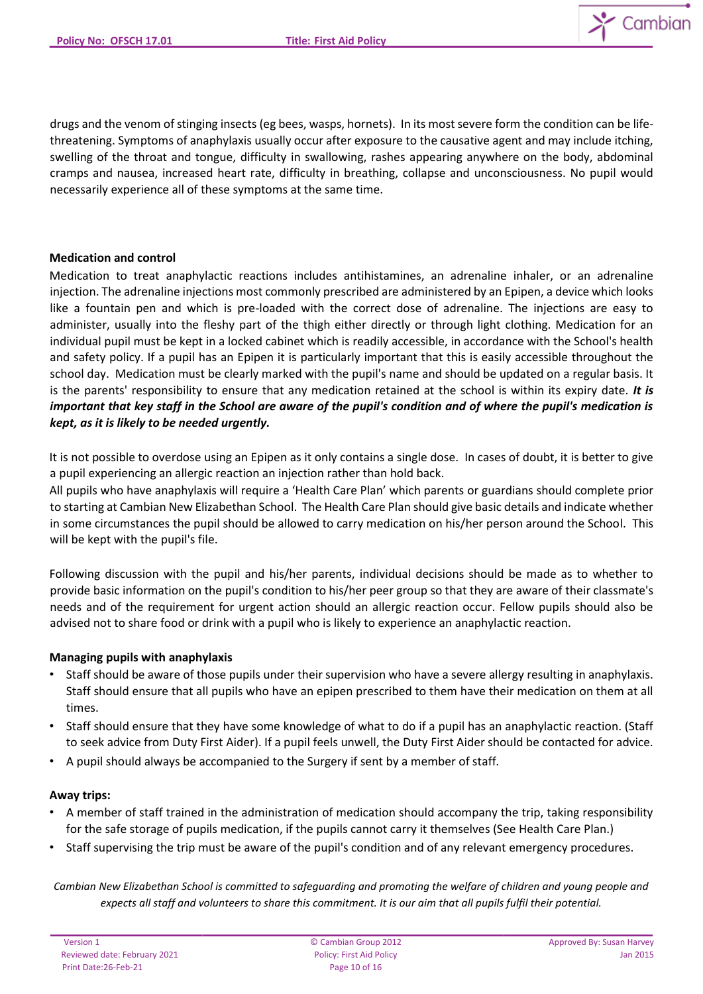

drugs and the venom of stinging insects (eg bees, wasps, hornets). In its most severe form the condition can be lifethreatening. Symptoms of anaphylaxis usually occur after exposure to the causative agent and may include itching, swelling of the throat and tongue, difficulty in swallowing, rashes appearing anywhere on the body, abdominal cramps and nausea, increased heart rate, difficulty in breathing, collapse and unconsciousness. No pupil would necessarily experience all of these symptoms at the same time.

## **Medication and control**

Medication to treat anaphylactic reactions includes antihistamines, an adrenaline inhaler, or an adrenaline injection. The adrenaline injections most commonly prescribed are administered by an Epipen, a device which looks like a fountain pen and which is pre-loaded with the correct dose of adrenaline. The injections are easy to administer, usually into the fleshy part of the thigh either directly or through light clothing. Medication for an individual pupil must be kept in a locked cabinet which is readily accessible, in accordance with the School's health and safety policy. If a pupil has an Epipen it is particularly important that this is easily accessible throughout the school day. Medication must be clearly marked with the pupil's name and should be updated on a regular basis. It is the parents' responsibility to ensure that any medication retained at the school is within its expiry date. *It is important that key staff in the School are aware of the pupil's condition and of where the pupil's medication is kept, as it is likely to be needed urgently.*

It is not possible to overdose using an Epipen as it only contains a single dose. In cases of doubt, it is better to give a pupil experiencing an allergic reaction an injection rather than hold back.

All pupils who have anaphylaxis will require a 'Health Care Plan' which parents or guardians should complete prior to starting at Cambian New Elizabethan School. The Health Care Plan should give basic details and indicate whether in some circumstances the pupil should be allowed to carry medication on his/her person around the School. This will be kept with the pupil's file.

Following discussion with the pupil and his/her parents, individual decisions should be made as to whether to provide basic information on the pupil's condition to his/her peer group so that they are aware of their classmate's needs and of the requirement for urgent action should an allergic reaction occur. Fellow pupils should also be advised not to share food or drink with a pupil who is likely to experience an anaphylactic reaction.

#### **Managing pupils with anaphylaxis**

- Staff should be aware of those pupils under their supervision who have a severe allergy resulting in anaphylaxis. Staff should ensure that all pupils who have an epipen prescribed to them have their medication on them at all times.
- Staff should ensure that they have some knowledge of what to do if a pupil has an anaphylactic reaction. (Staff to seek advice from Duty First Aider). If a pupil feels unwell, the Duty First Aider should be contacted for advice.
- A pupil should always be accompanied to the Surgery if sent by a member of staff.

#### **Away trips:**

- A member of staff trained in the administration of medication should accompany the trip, taking responsibility for the safe storage of pupils medication, if the pupils cannot carry it themselves (See Health Care Plan.)
- Staff supervising the trip must be aware of the pupil's condition and of any relevant emergency procedures.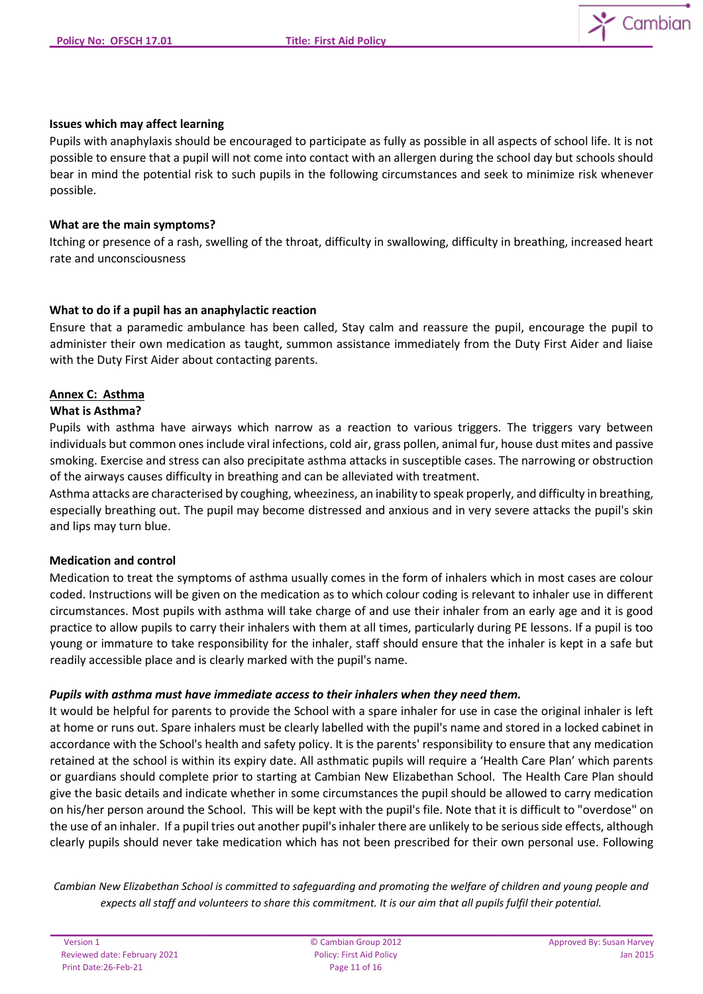

#### **Issues which may affect learning**

Pupils with anaphylaxis should be encouraged to participate as fully as possible in all aspects of school life. It is not possible to ensure that a pupil will not come into contact with an allergen during the school day but schools should bear in mind the potential risk to such pupils in the following circumstances and seek to minimize risk whenever possible.

#### **What are the main symptoms?**

Itching or presence of a rash, swelling of the throat, difficulty in swallowing, difficulty in breathing, increased heart rate and unconsciousness

#### **What to do if a pupil has an anaphylactic reaction**

Ensure that a paramedic ambulance has been called, Stay calm and reassure the pupil, encourage the pupil to administer their own medication as taught, summon assistance immediately from the Duty First Aider and liaise with the Duty First Aider about contacting parents.

## **Annex C: Asthma**

#### **What is Asthma?**

Pupils with asthma have airways which narrow as a reaction to various triggers. The triggers vary between individuals but common ones include viral infections, cold air, grass pollen, animal fur, house dust mites and passive smoking. Exercise and stress can also precipitate asthma attacks in susceptible cases. The narrowing or obstruction of the airways causes difficulty in breathing and can be alleviated with treatment.

Asthma attacks are characterised by coughing, wheeziness, an inability to speak properly, and difficulty in breathing, especially breathing out. The pupil may become distressed and anxious and in very severe attacks the pupil's skin and lips may turn blue.

#### **Medication and control**

Medication to treat the symptoms of asthma usually comes in the form of inhalers which in most cases are colour coded. Instructions will be given on the medication as to which colour coding is relevant to inhaler use in different circumstances. Most pupils with asthma will take charge of and use their inhaler from an early age and it is good practice to allow pupils to carry their inhalers with them at all times, particularly during PE lessons. If a pupil is too young or immature to take responsibility for the inhaler, staff should ensure that the inhaler is kept in a safe but readily accessible place and is clearly marked with the pupil's name.

#### *Pupils with asthma must have immediate access to their inhalers when they need them.*

It would be helpful for parents to provide the School with a spare inhaler for use in case the original inhaler is left at home or runs out. Spare inhalers must be clearly labelled with the pupil's name and stored in a locked cabinet in accordance with the School's health and safety policy. It is the parents' responsibility to ensure that any medication retained at the school is within its expiry date. All asthmatic pupils will require a 'Health Care Plan' which parents or guardians should complete prior to starting at Cambian New Elizabethan School. The Health Care Plan should give the basic details and indicate whether in some circumstances the pupil should be allowed to carry medication on his/her person around the School. This will be kept with the pupil's file. Note that it is difficult to "overdose" on the use of an inhaler. If a pupil tries out another pupil's inhaler there are unlikely to be serious side effects, although clearly pupils should never take medication which has not been prescribed for their own personal use. Following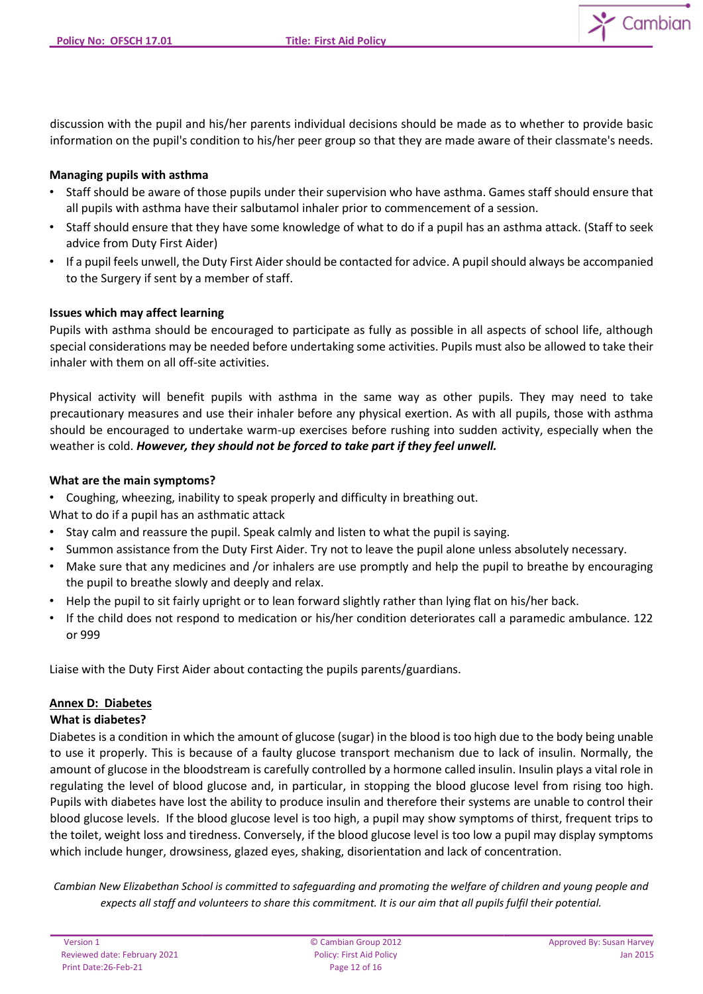discussion with the pupil and his/her parents individual decisions should be made as to whether to provide basic information on the pupil's condition to his/her peer group so that they are made aware of their classmate's needs.

## **Managing pupils with asthma**

- Staff should be aware of those pupils under their supervision who have asthma. Games staff should ensure that all pupils with asthma have their salbutamol inhaler prior to commencement of a session.
- Staff should ensure that they have some knowledge of what to do if a pupil has an asthma attack. (Staff to seek advice from Duty First Aider)
- If a pupil feels unwell, the Duty First Aider should be contacted for advice. A pupil should always be accompanied to the Surgery if sent by a member of staff.

## **Issues which may affect learning**

Pupils with asthma should be encouraged to participate as fully as possible in all aspects of school life, although special considerations may be needed before undertaking some activities. Pupils must also be allowed to take their inhaler with them on all off-site activities.

Physical activity will benefit pupils with asthma in the same way as other pupils. They may need to take precautionary measures and use their inhaler before any physical exertion. As with all pupils, those with asthma should be encouraged to undertake warm-up exercises before rushing into sudden activity, especially when the weather is cold. *However, they should not be forced to take part if they feel unwell.*

## **What are the main symptoms?**

- Coughing, wheezing, inability to speak properly and difficulty in breathing out.
- What to do if a pupil has an asthmatic attack
- Stay calm and reassure the pupil. Speak calmly and listen to what the pupil is saying.
- Summon assistance from the Duty First Aider. Try not to leave the pupil alone unless absolutely necessary.
- Make sure that any medicines and /or inhalers are use promptly and help the pupil to breathe by encouraging the pupil to breathe slowly and deeply and relax.
- Help the pupil to sit fairly upright or to lean forward slightly rather than lying flat on his/her back.
- If the child does not respond to medication or his/her condition deteriorates call a paramedic ambulance. 122 or 999

Liaise with the Duty First Aider about contacting the pupils parents/guardians.

# **Annex D: Diabetes**

#### **What is diabetes?**

Diabetes is a condition in which the amount of glucose (sugar) in the blood is too high due to the body being unable to use it properly. This is because of a faulty glucose transport mechanism due to lack of insulin. Normally, the amount of glucose in the bloodstream is carefully controlled by a hormone called insulin. Insulin plays a vital role in regulating the level of blood glucose and, in particular, in stopping the blood glucose level from rising too high. Pupils with diabetes have lost the ability to produce insulin and therefore their systems are unable to control their blood glucose levels. If the blood glucose level is too high, a pupil may show symptoms of thirst, frequent trips to the toilet, weight loss and tiredness. Conversely, if the blood glucose level is too low a pupil may display symptoms which include hunger, drowsiness, glazed eyes, shaking, disorientation and lack of concentration.

*Cambian New Elizabethan School is committed to safeguarding and promoting the welfare of children and young people and expects all staff and volunteers to share this commitment. It is our aim that all pupils fulfil their potential.*

Cambian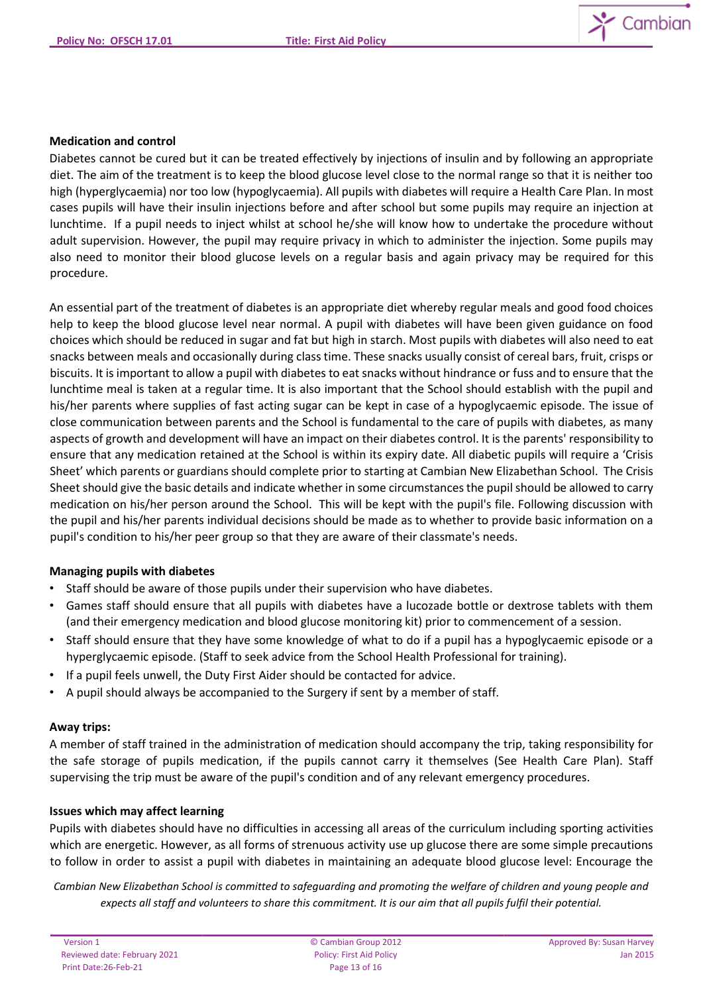

## **Medication and control**

Diabetes cannot be cured but it can be treated effectively by injections of insulin and by following an appropriate diet. The aim of the treatment is to keep the blood glucose level close to the normal range so that it is neither too high (hyperglycaemia) nor too low (hypoglycaemia). All pupils with diabetes will require a Health Care Plan. In most cases pupils will have their insulin injections before and after school but some pupils may require an injection at lunchtime. If a pupil needs to inject whilst at school he/she will know how to undertake the procedure without adult supervision. However, the pupil may require privacy in which to administer the injection. Some pupils may also need to monitor their blood glucose levels on a regular basis and again privacy may be required for this procedure.

An essential part of the treatment of diabetes is an appropriate diet whereby regular meals and good food choices help to keep the blood glucose level near normal. A pupil with diabetes will have been given guidance on food choices which should be reduced in sugar and fat but high in starch. Most pupils with diabetes will also need to eat snacks between meals and occasionally during class time. These snacks usually consist of cereal bars, fruit, crisps or biscuits. It is important to allow a pupil with diabetes to eat snacks without hindrance or fuss and to ensure that the lunchtime meal is taken at a regular time. It is also important that the School should establish with the pupil and his/her parents where supplies of fast acting sugar can be kept in case of a hypoglycaemic episode. The issue of close communication between parents and the School is fundamental to the care of pupils with diabetes, as many aspects of growth and development will have an impact on their diabetes control. It is the parents' responsibility to ensure that any medication retained at the School is within its expiry date. All diabetic pupils will require a 'Crisis Sheet' which parents or guardians should complete prior to starting at Cambian New Elizabethan School. The Crisis Sheet should give the basic details and indicate whether in some circumstances the pupil should be allowed to carry medication on his/her person around the School. This will be kept with the pupil's file. Following discussion with the pupil and his/her parents individual decisions should be made as to whether to provide basic information on a pupil's condition to his/her peer group so that they are aware of their classmate's needs.

#### **Managing pupils with diabetes**

- Staff should be aware of those pupils under their supervision who have diabetes.
- Games staff should ensure that all pupils with diabetes have a lucozade bottle or dextrose tablets with them (and their emergency medication and blood glucose monitoring kit) prior to commencement of a session.
- Staff should ensure that they have some knowledge of what to do if a pupil has a hypoglycaemic episode or a hyperglycaemic episode. (Staff to seek advice from the School Health Professional for training).
- If a pupil feels unwell, the Duty First Aider should be contacted for advice.
- A pupil should always be accompanied to the Surgery if sent by a member of staff.

#### **Away trips:**

A member of staff trained in the administration of medication should accompany the trip, taking responsibility for the safe storage of pupils medication, if the pupils cannot carry it themselves (See Health Care Plan). Staff supervising the trip must be aware of the pupil's condition and of any relevant emergency procedures.

#### **Issues which may affect learning**

Pupils with diabetes should have no difficulties in accessing all areas of the curriculum including sporting activities which are energetic. However, as all forms of strenuous activity use up glucose there are some simple precautions to follow in order to assist a pupil with diabetes in maintaining an adequate blood glucose level: Encourage the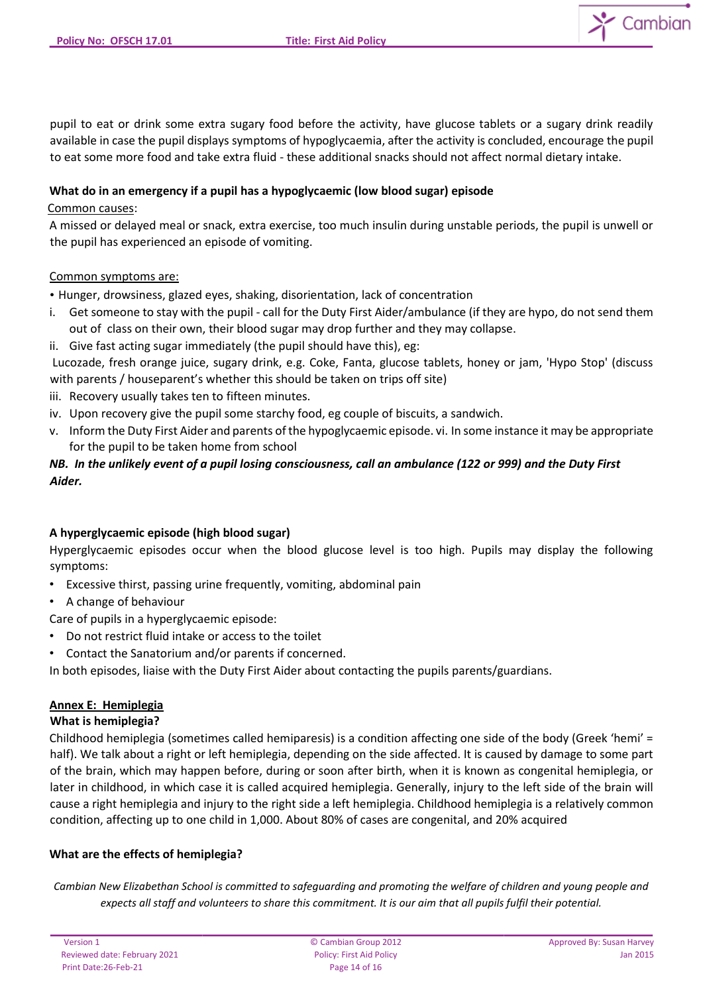Cambian

pupil to eat or drink some extra sugary food before the activity, have glucose tablets or a sugary drink readily available in case the pupil displays symptoms of hypoglycaemia, after the activity is concluded, encourage the pupil to eat some more food and take extra fluid - these additional snacks should not affect normal dietary intake.

## **What do in an emergency if a pupil has a hypoglycaemic (low blood sugar) episode**

## Common causes:

A missed or delayed meal or snack, extra exercise, too much insulin during unstable periods, the pupil is unwell or the pupil has experienced an episode of vomiting.

## Common symptoms are:

• Hunger, drowsiness, glazed eyes, shaking, disorientation, lack of concentration

- i. Get someone to stay with the pupil call for the Duty First Aider/ambulance (if they are hypo, do not send them out of class on their own, their blood sugar may drop further and they may collapse.
- ii. Give fast acting sugar immediately (the pupil should have this), eg:

Lucozade, fresh orange juice, sugary drink, e.g. Coke, Fanta, glucose tablets, honey or jam, 'Hypo Stop' (discuss with parents / houseparent's whether this should be taken on trips off site)

- iii. Recovery usually takes ten to fifteen minutes.
- iv. Upon recovery give the pupil some starchy food, eg couple of biscuits, a sandwich.
- v. Inform the Duty First Aider and parents of the hypoglycaemic episode. vi. In some instance it may be appropriate for the pupil to be taken home from school

# *NB. In the unlikely event of a pupil losing consciousness, call an ambulance (122 or 999) and the Duty First Aider.*

# **A hyperglycaemic episode (high blood sugar)**

Hyperglycaemic episodes occur when the blood glucose level is too high. Pupils may display the following symptoms:

- Excessive thirst, passing urine frequently, vomiting, abdominal pain
- A change of behaviour
- Care of pupils in a hyperglycaemic episode:
- Do not restrict fluid intake or access to the toilet
- Contact the Sanatorium and/or parents if concerned.

In both episodes, liaise with the Duty First Aider about contacting the pupils parents/guardians.

# **Annex E: Hemiplegia**

# **What is hemiplegia?**

Childhood hemiplegia (sometimes called hemiparesis) is a condition affecting one side of the body (Greek 'hemi' = half). We talk about a right or left hemiplegia, depending on the side affected. It is caused by damage to some part of the brain, which may happen before, during or soon after birth, when it is known as congenital hemiplegia, or later in childhood, in which case it is called acquired hemiplegia. Generally, injury to the left side of the brain will cause a right hemiplegia and injury to the right side a left hemiplegia. Childhood hemiplegia is a relatively common condition, affecting up to one child in 1,000. About 80% of cases are congenital, and 20% acquired

#### **What are the effects of hemiplegia?**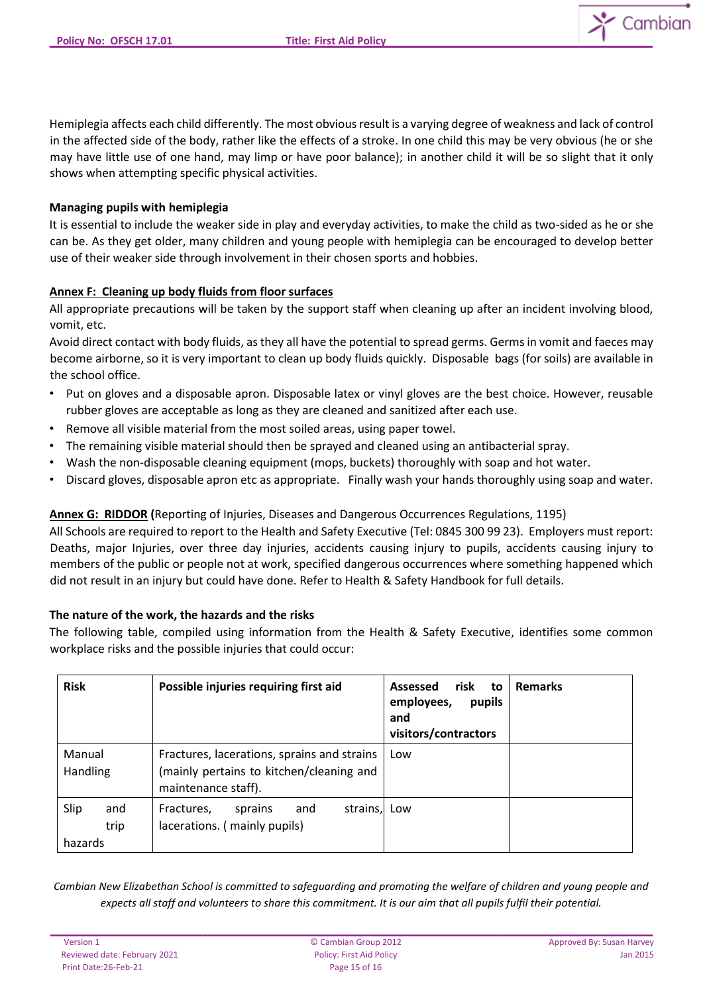

Hemiplegia affects each child differently. The most obvious result is a varying degree of weakness and lack of control in the affected side of the body, rather like the effects of a stroke. In one child this may be very obvious (he or she may have little use of one hand, may limp or have poor balance); in another child it will be so slight that it only shows when attempting specific physical activities.

## **Managing pupils with hemiplegia**

It is essential to include the weaker side in play and everyday activities, to make the child as two-sided as he or she can be. As they get older, many children and young people with hemiplegia can be encouraged to develop better use of their weaker side through involvement in their chosen sports and hobbies.

## **Annex F: Cleaning up body fluids from floor surfaces**

All appropriate precautions will be taken by the support staff when cleaning up after an incident involving blood, vomit, etc.

Avoid direct contact with body fluids, as they all have the potential to spread germs. Germs in vomit and faeces may become airborne, so it is very important to clean up body fluids quickly. Disposable bags (for soils) are available in the school office.

- Put on gloves and a disposable apron. Disposable latex or vinyl gloves are the best choice. However, reusable rubber gloves are acceptable as long as they are cleaned and sanitized after each use.
- Remove all visible material from the most soiled areas, using paper towel.
- The remaining visible material should then be sprayed and cleaned using an antibacterial spray.
- Wash the non-disposable cleaning equipment (mops, buckets) thoroughly with soap and hot water.
- Discard gloves, disposable apron etc as appropriate. Finally wash your hands thoroughly using soap and water.

# **Annex G: RIDDOR (**Reporting of Injuries, Diseases and Dangerous Occurrences Regulations, 1195)

All Schools are required to report to the Health and Safety Executive (Tel: 0845 300 99 23). Employers must report: Deaths, major Injuries, over three day injuries, accidents causing injury to pupils, accidents causing injury to members of the public or people not at work, specified dangerous occurrences where something happened which did not result in an injury but could have done. Refer to Health & Safety Handbook for full details.

#### **The nature of the work, the hazards and the risks**

The following table, compiled using information from the Health & Safety Executive, identifies some common workplace risks and the possible injuries that could occur:

| <b>Risk</b>                    | Possible injuries requiring first aid                                                                          | Assessed<br>risk<br>to<br>pupils<br>employees,<br>and<br>visitors/contractors | <b>Remarks</b> |
|--------------------------------|----------------------------------------------------------------------------------------------------------------|-------------------------------------------------------------------------------|----------------|
| Manual<br>Handling             | Fractures, lacerations, sprains and strains<br>(mainly pertains to kitchen/cleaning and<br>maintenance staff). | Low                                                                           |                |
| Slip<br>and<br>trip<br>hazards | strains, Low<br>Fractures,<br>sprains<br>and<br>lacerations. (mainly pupils)                                   |                                                                               |                |